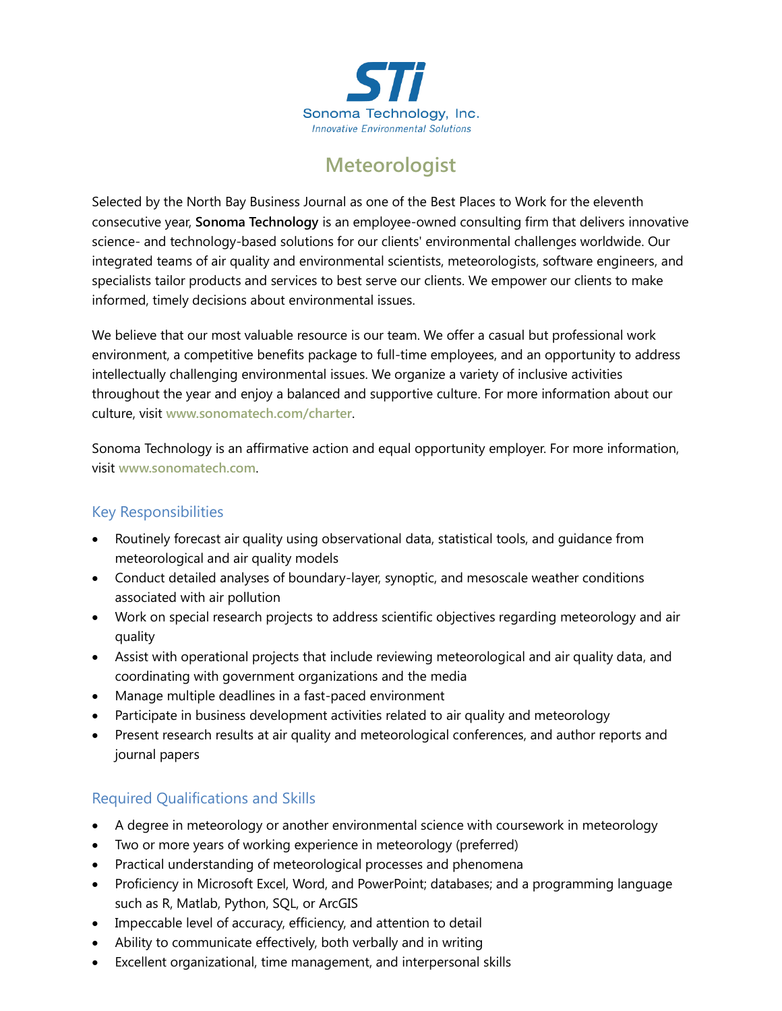

## **Meteorologist**

Selected by the North Bay Business Journal as one of the Best Places to Work for the eleventh consecutive year, **Sonoma Technology** is an employee-owned consulting firm that delivers innovative science- and technology-based solutions for our clients' environmental challenges worldwide. Our integrated teams of air quality and environmental scientists, meteorologists, software engineers, and specialists tailor products and services to best serve our clients. We empower our clients to make informed, timely decisions about environmental issues.

We believe that our most valuable resource is our team. We offer a casual but professional work environment, a competitive benefits package to full-time employees, and an opportunity to address intellectually challenging environmental issues. We organize a variety of inclusive activities throughout the year and enjoy a balanced and supportive culture. For more information about our culture, visit **[www.sonomatech.com/charter](http://www.sonomatech.com/charter)**.

Sonoma Technology is an affirmative action and equal opportunity employer. For more information, visit **[www.sonomatech.com](http://www.sonomatech.com/)**.

## Key Responsibilities

- Routinely forecast air quality using observational data, statistical tools, and guidance from meteorological and air quality models
- Conduct detailed analyses of boundary-layer, synoptic, and mesoscale weather conditions associated with air pollution
- Work on special research projects to address scientific objectives regarding meteorology and air quality
- Assist with operational projects that include reviewing meteorological and air quality data, and coordinating with government organizations and the media
- Manage multiple deadlines in a fast-paced environment
- Participate in business development activities related to air quality and meteorology
- Present research results at air quality and meteorological conferences, and author reports and journal papers

## Required Qualifications and Skills

- A degree in meteorology or another environmental science with coursework in meteorology
- Two or more years of working experience in meteorology (preferred)
- Practical understanding of meteorological processes and phenomena
- Proficiency in Microsoft Excel, Word, and PowerPoint; databases; and a programming language such as R, Matlab, Python, SQL, or ArcGIS
- Impeccable level of accuracy, efficiency, and attention to detail
- Ability to communicate effectively, both verbally and in writing
- Excellent organizational, time management, and interpersonal skills